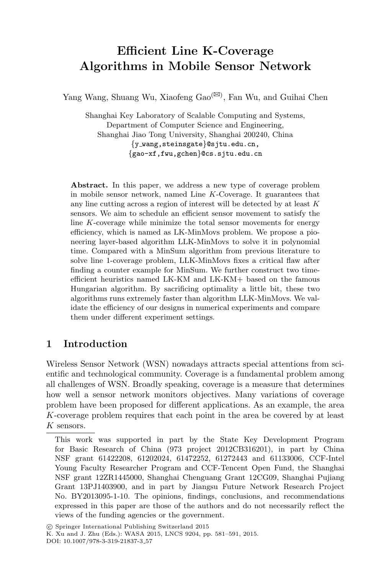# **Efficient Line K-Coverage Algorithms in Mobile Sensor Network**

Yang Wang, Shuang Wu, Xiaofeng Gao $^{(\boxtimes)}$ , Fan Wu, and Guihai Chen

Shanghai Key Laboratory of Scalable Computing and Systems, Department of Computer Science and Engineering, Shanghai Jiao Tong University, Shanghai 200240, China *{*y wang,steinsgate*}*@sjtu.edu.cn, *{*gao-xf,fwu,gchen*}*@cs.sjtu.edu.cn

Abstract. In this paper, we address a new type of coverage problem in mobile sensor network, named Line *K*-Coverage. It guarantees that any line cutting across a region of interest will be detected by at least *K* sensors. We aim to schedule an efficient sensor movement to satisfy the line *K*-coverage while minimize the total sensor movements for energy efficiency, which is named as LK-MinMovs problem. We propose a pioneering layer-based algorithm LLK-MinMovs to solve it in polynomial time. Compared with a MinSum algorithm from previous literature to solve line 1-coverage problem, LLK-MinMovs fixes a critical flaw after finding a counter example for MinSum. We further construct two timeefficient heuristics named LK-KM and LK-KM+ based on the famous Hungarian algorithm. By sacrificing optimality a little bit, these two algorithms runs extremely faster than algorithm LLK-MinMovs. We validate the efficiency of our designs in numerical experiments and compare them under different experiment settings.

## **1 Introduction**

Wireless Sensor Network (WSN) nowadays attracts special attentions from scientific and technological community. Coverage is a fundamental problem among all challenges of WSN. Broadly speaking, coverage is a measure that determines how well a sensor network monitors objectives. Many variations of coverage problem have been proposed for different applications. As an example, the area *K*-coverage problem requires that each point in the area be covered by at least *K* sensors.

-c Springer International Publishing Switzerland 2015

This work was supported in part by the State Key Development Program for Basic Research of China (973 project 2012CB316201), in part by China NSF grant 61422208, 61202024, 61472252, 61272443 and 61133006, CCF-Intel Young Faculty Researcher Program and CCF-Tencent Open Fund, the Shanghai NSF grant 12ZR1445000, Shanghai Chenguang Grant 12CG09, Shanghai Pujiang Grant 13PJ1403900, and in part by Jiangsu Future Network Research Project No. BY2013095-1-10. The opinions, findings, conclusions, and recommendations expressed in this paper are those of the authors and do not necessarily reflect the views of the funding agencies or the government.

K. Xu and J. Zhu (Eds.): WASA 2015, LNCS 9204, pp. 581–591, 2015. DOI: 10.1007/978-3-319-21837-3 57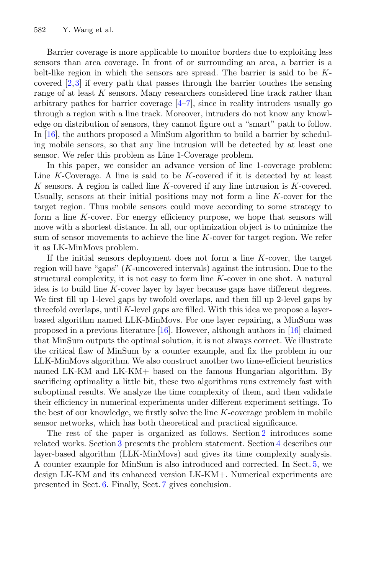Barrier coverage is more applicable to monitor borders due to exploiting less sensors than area coverage. In front of or surrounding an area, a barrier is a belt-like region in which the sensors are spread. The barrier is said to be *K*covered [\[2](#page-9-0)[,3](#page-9-1)] if every path that passes through the barrier touches the sensing range of at least *K* sensors. Many researchers considered line track rather than arbitrary pathes for barrier coverage  $[4–7]$  $[4–7]$ , since in reality intruders usually go through a region with a line track. Moreover, intruders do not know any knowledge on distribution of sensors, they cannot figure out a "smart" path to follow. In [\[16](#page-10-0)], the authors proposed a MinSum algorithm to build a barrier by scheduling mobile sensors, so that any line intrusion will be detected by at least one sensor. We refer this problem as Line 1-Coverage problem.

In this paper, we consider an advance version of line 1-coverage problem: Line *K*-Coverage. A line is said to be *K*-covered if it is detected by at least *K* sensors. A region is called line *K*-covered if any line intrusion is *K*-covered. Usually, sensors at their initial positions may not form a line *K*-cover for the target region. Thus mobile sensors could move according to some strategy to form a line *K*-cover. For energy efficiency purpose, we hope that sensors will move with a shortest distance. In all, our optimization object is to minimize the sum of sensor movements to achieve the line *K*-cover for target region. We refer it as LK-MinMovs problem.

If the initial sensors deployment does not form a line *K*-cover, the target region will have "gaps" (*K*-uncovered intervals) against the intrusion. Due to the structural complexity, it is not easy to form line *K*-cover in one shot. A natural idea is to build line *K*-cover layer by layer because gaps have different degrees. We first fill up 1-level gaps by twofold overlaps, and then fill up 2-level gaps by threefold overlaps, until *K*-level gaps are filled. With this idea we propose a layerbased algorithm named LLK-MinMovs. For one layer repairing, a MinSum was proposed in a previous literature [\[16](#page-10-0)]. However, although authors in [\[16](#page-10-0)] claimed that MinSum outputs the optimal solution, it is not always correct. We illustrate the critical flaw of MinSum by a counter example, and fix the problem in our LLK-MinMovs algorithm. We also construct another two time-efficient heuristics named LK-KM and LK-KM+ based on the famous Hungarian algorithm. By sacrificing optimality a little bit, these two algorithms runs extremely fast with suboptimal results. We analyze the time complexity of them, and then validate their efficiency in numerical experiments under different experiment settings. To the best of our knowledge, we firstly solve the line *K*-coverage problem in mobile sensor networks, which has both theoretical and practical significance.

The rest of the paper is organized as follows. Section [2](#page-2-0) introduces some related works. Section [3](#page-2-1) presents the problem statement. Section [4](#page-4-0) describes our layer-based algorithm (LLK-MinMovs) and gives its time complexity analysis. A counter example for MinSum is also introduced and corrected. In Sect. [5,](#page-6-0) we design LK-KM and its enhanced version LK-KM+. Numerical experiments are presented in Sect. [6.](#page-7-0) Finally, Sect. [7](#page-8-0) gives conclusion.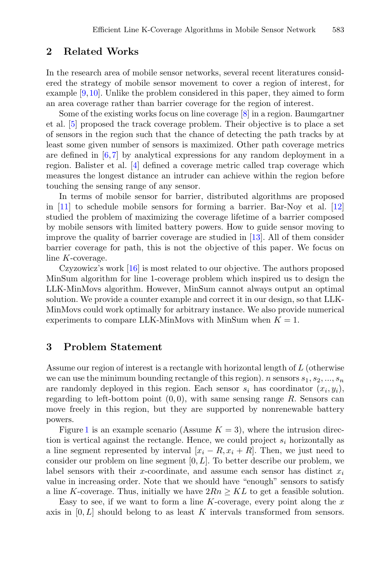#### <span id="page-2-0"></span>**2 Related Works**

In the research area of mobile sensor networks, several recent literatures considered the strategy of mobile sensor movement to cover a region of interest, for example [\[9,](#page-9-4)[10\]](#page-9-5). Unlike the problem considered in this paper, they aimed to form an area coverage rather than barrier coverage for the region of interest.

Some of the existing works focus on line coverage [\[8\]](#page-9-6) in a region. Baumgartner et al. [\[5](#page-9-7)] proposed the track coverage problem. Their objective is to place a set of sensors in the region such that the chance of detecting the path tracks by at least some given number of sensors is maximized. Other path coverage metrics are defined in  $[6,7]$  $[6,7]$  $[6,7]$  by analytical expressions for any random deployment in a region. Balister et al. [\[4](#page-9-2)] defined a coverage metric called trap coverage which measures the longest distance an intruder can achieve within the region before touching the sensing range of any sensor.

In terms of mobile sensor for barrier, distributed algorithms are proposed in [\[11\]](#page-9-9) to schedule mobile sensors for forming a barrier. Bar-Noy et al. [\[12\]](#page-9-10) studied the problem of maximizing the coverage lifetime of a barrier composed by mobile sensors with limited battery powers. How to guide sensor moving to improve the quality of barrier coverage are studied in [\[13](#page-9-11)]. All of them consider barrier coverage for path, this is not the objective of this paper. We focus on line *K*-coverage.

Czyzowicz's work [\[16](#page-10-0)] is most related to our objective. The authors proposed MinSum algorithm for line 1-coverage problem which inspired us to design the LLK-MinMovs algorithm. However, MinSum cannot always output an optimal solution. We provide a counter example and correct it in our design, so that LLK-MinMovs could work optimally for arbitrary instance. We also provide numerical experiments to compare LLK-MinMovs with MinSum when  $K = 1$ .

#### <span id="page-2-1"></span>**3 Problem Statement**

Assume our region of interest is a rectangle with horizontal length of *L* (otherwise we can use the minimum bounding rectangle of this region). *n* sensors  $s_1, s_2, ..., s_n$ are randomly deployed in this region. Each sensor  $s_i$  has coordinator  $(x_i, y_i)$ , regarding to left-bottom point (0*,* 0), with same sensing range *R*. Sensors can move freely in this region, but they are supported by nonrenewable battery powers.

Figure [1](#page-3-0) is an example scenario (Assume  $K = 3$ ), where the intrusion direction is vertical against the rectangle. Hence, we could project  $s_i$  horizontally as a line segment represented by interval  $[x_i - R, x_i + R]$ . Then, we just need to consider our problem on line segment [0*, L*]. To better describe our problem, we label sensors with their *x*-coordinate, and assume each sensor has distinct  $x_i$ value in increasing order. Note that we should have "enough" sensors to satisfy a line *K*-coverage. Thus, initially we have  $2Rn \geq KL$  to get a feasible solution.

Easy to see, if we want to form a line *K*-coverage, every point along the *x* axis in [0*, L*] should belong to as least *K* intervals transformed from sensors.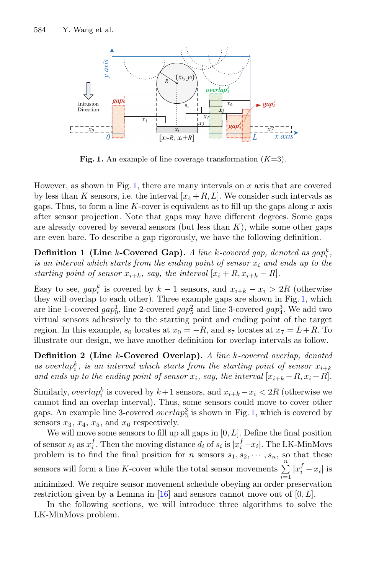

**Fig. 1.** An example of line coverage transformation (*K*=3).

<span id="page-3-0"></span>However, as shown in Fig. [1,](#page-3-0) there are many intervals on *x* axis that are covered by less than *K* sensors, i.e. the interval  $[x_4 + R, L]$ . We consider such intervals as gaps. Thus, to form a line *K*-cover is equivalent as to fill up the gaps along *x* axis after sensor projection. Note that gaps may have different degrees. Some gaps are already covered by several sensors (but less than  $K$ ), while some other gaps are even bare. To describe a gap rigorously, we have the following definition.

**Definition 1 (Line** *k***-Covered Gap).** *A line k*-covered gap, denoted as gap<sup>*k*</sup>, is an interval which starts from the ending point of sensor  $x_i$  and ends wn to the *is an interval which starts from the ending point of sensor*  $x_i$  and ends up to the *starting point of sensor*  $x_{i+k}$ *, say, the interval*  $[x_i + R, x_{i+k} - R]$ *.* 

Easy to see,  $gap_i^k$  is covered by  $k-1$  sensors, and  $x_{i+k} - x_i > 2R$  (otherwise<br>they will overlap to each other). Three example gaps are shown in Fig. 1, which they will overlap to each other). Three example gaps are shown in Fig. [1,](#page-3-0) which are line 1-covered  $gap_0^1$ , line 2-covered  $gap_5^2$  and line 3-covered  $gap_4^3$ . We add two virtual sensors adhesively to the starting point and ending point of the target region. In this example,  $s_0$  locates at  $x_0 = -R$ , and  $s_7$  locates at  $x_7 = L + R$ . To illustrate our design, we have another definition for overlap intervals as follow.

**Definition 2 (Line** *k***-Covered Overlap).** *A line k-covered overlap, denoted* as *overlap*<sup>*k*</sup>, is an interval which starts from the starting point of sensor  $x_{i+k}$ <br>and ends up to the ending point of sensor  $x_i$ , say, the interval  $[x_{i+1} - B, x_{i} + B]$ *and ends up to the ending point of sensor*  $x_i$ *, say, the interval*  $[x_{i+k} - R, x_i + R]$ *.* 

Similarly, *overlap*<sup>*k*</sup> is covered by  $k+1$  sensors, and  $x_{i+k} - x_i < 2R$  (otherwise we cannot find an overlap interval). Thus, some sensors could move to cover other cannot find an overlap interval). Thus, some sensors could move to cover other gaps. An example line 3-covered *overlap*<sup>3</sup> <sup>3</sup> is shown in Fig. [1,](#page-3-0) which is covered by sensors  $x_3$ ,  $x_4$ ,  $x_5$ , and  $x_6$  respectively.

We will move some sensors to fill up all gaps in [0*, L*]. Define the final position of sensor  $s_i$  as  $x_i^j$ . Then the moving distance  $d_i$  of  $s_i$  is  $|x_i^j - x_i|$ . The LK-MinMovs<br>problem is to find the final position for *n* sensors  $s_i$ ,  $s_2$ ,  $\ldots$ , so that these problem is to find the final position for *n* sensors  $s_1, s_2, \dots, s_n$ , so that these sensors will form a line *K*-cover while the total sensor movements  $\sum_{n=1}^{\infty}$ *i*=1  $|x_i^J - x_i|$  is minimized. We require sensor movement schedule obeying an order preservation restriction given by a Lemma in [\[16](#page-10-0)] and sensors cannot move out of [0*, L*].

In the following sections, we will introduce three algorithms to solve the LK-MinMovs problem.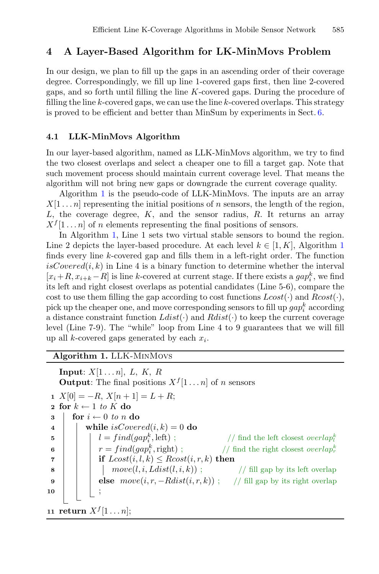## <span id="page-4-0"></span>**4 A Layer-Based Algorithm for LK-MinMovs Problem**

In our design, we plan to fill up the gaps in an ascending order of their coverage degree. Correspondingly, we fill up line 1-covered gaps first, then line 2-covered gaps, and so forth until filling the line *K*-covered gaps. During the procedure of filling the line *k*-covered gaps, we can use the line *k*-covered overlaps. This strategy is proved to be efficient and better than MinSum by experiments in Sect. [6.](#page-7-0)

#### **4.1 LLK-MinMovs Algorithm**

In our layer-based algorithm, named as LLK-MinMovs algorithm, we try to find the two closest overlaps and select a cheaper one to fill a target gap. Note that such movement process should maintain current coverage level. That means the algorithm will not bring new gaps or downgrade the current coverage quality.

Algorithm [1](#page-4-1) is the pseudo-code of LLK-MinMovs. The inputs are an array  $X[1 \tldots n]$  representing the initial positions of *n* sensors, the length of the region, *L*, the coverage degree, *K*, and the sensor radius, *R*. It returns an array  $X<sup>f</sup>[1...n]$  of *n* elements representing the final positions of sensors.

In Algorithm [1,](#page-4-1) Line 1 sets two virtual stable sensors to bound the region. Line 2 depicts the layer-based procedure. At each level  $k \in [1, K]$  $k \in [1, K]$  $k \in [1, K]$ , Algorithm 1 finds every line *k*-covered gap and fills them in a left-right order. The function  $isCovered(i, k)$  in Line 4 is a binary function to determine whether the interval  $[x_i+R, x_{i+k}-R]$  is line *k*-covered at current stage. If there exists a  $gap_i^k$ , we find<br>its left and right closest overlaps as potential candidates (Line 5-6), compare the its left and right closest overlaps as potential candidates (Line 5-6), compare the cost to use them filling the gap according to cost functions *Lcost*(·) and *Rcost*(·), pick up the cheaper one, and move corresponding sensors to fill up  $gap_i^k$  according<br>a distance constraint function  $Idist(.)$  and  $Bdist(.)$  to keep the current coverage a distance constraint function  $List(\cdot)$  and  $Rdist(\cdot)$  to keep the current coverage level (Line 7-9). The "while" loop from Line 4 to 9 guarantees that we will fill up all *<sup>k</sup>*-covered gaps generated by each *<sup>x</sup>i*.

#### **Algorithm 1.** LLK-MinMovs

<span id="page-4-1"></span>**Input**: *X*[1 *...n*]*, L, K, R* **Output**: The final positions  $X^f[1 \dots n]$  of *n* sensors  $X[0] = -R$ ,  $X[n+1] = L + R$ ; for  $k \leftarrow 1$  *to*  $K$  do **for**  $i \leftarrow 0$  *to n* **do while**  $isCovered(i,k) = 0$  **do** 5<br>
6<br>  $\begin{array}{|l|l|} \hline \texttt{5}} & l = find(gap_i^k,\text{left}) \; ; & // \; \text{find the left closest overlap}_i^h \ \hline \texttt{6} & r = find(gap_i^k,\text{right}) \; ; & // \; \text{find the right closest overlap}_r^k \ \hline \texttt{if } Lcost(i,l,k) \leq Rcost(i,r,k) \; \textbf{then} \end{array}$   $\vert$   $\vert$   $\vert$   $\vert$   $\vert$   $move(l, i, Ldist(l, i, k))$  ;  $\vert$   $\vert$   $\vert$  fill gap by its left overlap **else**  $move(i, r, -Rdist(i, r, k))$ ; // fill gap by its right overlap **<sup>10</sup>** ; **return**  $X^f[1 \dots n]$ ;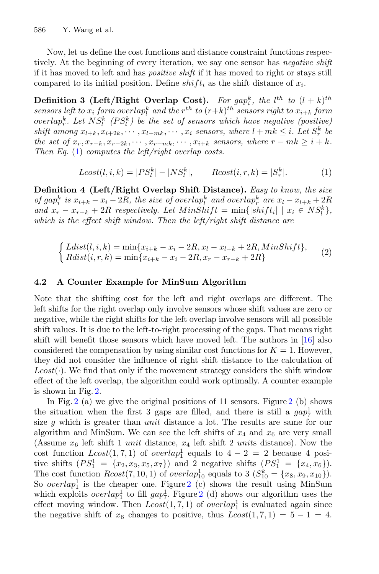Now, let us define the cost functions and distance constraint functions respectively. At the beginning of every iteration, we say one sensor has *negative shift* if it has moved to left and has *positive shift* if it has moved to right or stays still compared to its initial position. Define  $shift_i$  as the shift distance of  $x_i$ .

**Definition 3 (Left/Right Overlap Cost).** For  $gap_i^k$ , the  $l^{th}$  to  $(l + k)^{th}$ <br>sensors left to x, form overlap<sup>k</sup> and the  $r^{th}$  to  $(r+k)^{th}$  sensors right to x, , form *sensors left to*  $x_i$  *form overlap*<sup>*k*</sup> *and the*  $r^{th}$  *to*  $(r+k)^{th}$  *sensors right to*  $x_{i+k}$  *form overlap*<sup>*k*</sup> *Let*  $N S^k$  *(PS<sup>k</sup>) be the set of sensors which have peoptive (positive) overlap*<sup>k</sup>. Let  $NS^k$  ( $PS^k$ ) be the set of sensors which have negative (positive)<br>shift among  $x_{k+1}, x_{k+2}, \ldots, x_{k+1}, \ldots, x_{k}$  sensors where  $l + mk \leq i$ . Let  $S^k$  be shift among  $x_{l+k}, x_{l+2k}, \dots, x_{l+mk}, \dots, x_i$  sensors, where  $l + mk \leq i$ . Let  $S_r^k$  be<br>the set of  $x, x, y, z, \dots, x, \dots, x, \dots$  sensors, where  $x - mk \geq i + k$ the set of  $x_r, x_{r-k}, x_{r-2k}, \cdots, x_{r-mk}, \cdots, x_{i+k}$  sensors, where  $r - mk \geq i + k$ . *Then Eq.* [\(1\)](#page-5-0) *computes the left/right overlap costs.*

$$
Lcost(l, i, k) = |PS_l^k| - |NS_l^k|, \qquad Rcost(i, r, k) = |S_r^k|.
$$
 (1)

<span id="page-5-0"></span>**Definition 4 (Left/Right Overlap Shift Distance).** *Easy to know, the size* of gap<sup>k</sup> is  $x_{i+k} - x_i - 2R$ , the size of overlap<sup>k</sup> and overlap<sup>k</sup> are  $x_l - x_{l+k} + 2R$ <br>and  $x_{l} - x_{l+k} + 2R$  respectively Let Min Shift  $-$  min [[shift]  $|x_i| \in NS^k$ ] *and*  $x_r - x_{r+k} + 2R$  *respectively. Let*  $MinShift = min\{|shift_i| | x_i \in NS_i^k\}$ , which is the effect shift window. Then the left/right shift distance are *which is the effect shift window. Then the left/right shift distance are*

$$
\begin{cases}\nLdist(l, i, k) = \min\{x_{i+k} - x_i - 2R, x_l - x_{l+k} + 2R, MinShift\},\\ Rdist(i, r, k) = \min\{x_{i+k} - x_i - 2R, x_r - x_{r+k} + 2R\}\n\end{cases} \tag{2}
$$

#### **4.2 A Counter Example for MinSum Algorithm**

Note that the shifting cost for the left and right overlaps are different. The left shifts for the right overlap only involve sensors whose shift values are zero or negative, while the right shifts for the left overlap involve sensors will all possible shift values. It is due to the left-to-right processing of the gaps. That means right shift will benefit those sensors which have moved left. The authors in [\[16](#page-10-0)] also considered the compensation by using similar cost functions for  $K = 1$ . However, they did not consider the influence of right shift distance to the calculation of  $Lcost(\cdot)$ . We find that only if the movement strategy considers the shift window effect of the left overlap, the algorithm could work optimally. A counter example is shown in Fig. [2.](#page-6-1)

In Fig. [2](#page-6-1) (a) we give the original positions of 11 sensors. Figure 2 (b) shows the situation when the first 3 gaps are filled, and there is still a  $gap_7^1$  with size *g* which is greater than *unit* distance a lot. The results are same for our algorithm and MinSum. We can see the left shifts of  $x_4$  and  $x_6$  are very small (Assume *x*<sup>6</sup> left shift 1 *unit* distance, *x*<sup>4</sup> left shift 2 *unit*s distance). Now the cost function  $Loss(1, 7, 1)$  of *overlap*<sup>1</sup> equals to  $4 - 2 = 2$  because 4 positive shifts  $(PS_1^1 = \{x_2, x_3, x_5, x_7\})$  and 2 negative shifts  $(PS_1^1 = \{x_4, x_6\})$ . The cost function  $Rcost(7, 10, 1)$  of *overlap*<sup>1</sup><sub>10</sub> equals to 3 ( $S_{10}^k = \{x_8, x_9, x_{10}\}$ ). So *overlap*<sup>1</sup> is the cheaper one. Figure [2](#page-6-1) (c) shows the result using MinSum which exploits *overlap*<sup>1</sup> to fill  $gap_7^1$ . Figure [2](#page-6-1) (d) shows our algorithm uses the effect moving window. Then  $Loss(1, 7, 1)$  of  $overlap<sup>1</sup><sub>1</sub>$  is evaluated again since the negative shift of  $x_6$  changes to positive, thus  $Lcost(1, 7, 1) = 5 - 1 = 4$ .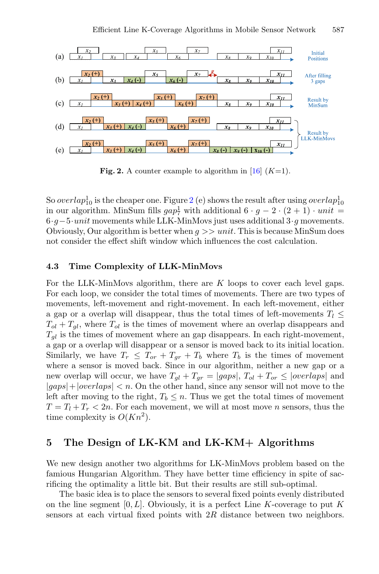

<span id="page-6-1"></span>**Fig. 2.** A counter example to algorithm in [\[16\]](#page-10-0)  $(K=1)$ .

So *overlap*<sup>1</sup><sub>10</sub> is the cheaper one. Figure [2](#page-6-1) (e) shows the result after using *overlap*<sup>1</sup><sub>10</sub> in our algorithm. MinSum fills  $gap^1_7$  with additional  $6 \cdot g - 2 \cdot (2 + 1) \cdot unit =$ 6·*g*−5·*unit* movements while LLK-MinMovs just uses additional 3·*g* movements. Obviously, Our algorithm is better when *g >> unit*. This is because MinSum does not consider the effect shift window which influences the cost calculation.

#### **4.3 Time Complexity of LLK-MinMovs**

For the LLK-MinMovs algorithm, there are *K* loops to cover each level gaps. For each loop, we consider the total times of movements. There are two types of movements, left-movement and right-movement. In each left-movement, either a gap or a overlap will disappear, thus the total times of left-movements  $T_l \leq$  $T_{ol} + T_{gl}$ , where  $T_{ol}$  is the times of movement where an overlap disappears and *<sup>T</sup>gl* is the times of movement where an gap disappears. In each right-movement, a gap or a overlap will disappear or a sensor is moved back to its initial location. Similarly, we have  $T_r \leq T_{or} + T_{qr} + T_b$  where  $T_b$  is the times of movement where a sensor is moved back. Since in our algorithm, neither a new gap or a new overlap will occur, we have  $T_{ql} + T_{qr} = |gaps|, T_{ol} + T_{or} \le |overaps|$  and |*gaps*|+|*overlaps*| *< n*. On the other hand, since any sensor will not move to the left after moving to the right,  $T_b \leq n$ . Thus we get the total times of movement  $T = T_l + T_r < 2n$ . For each movement, we will at most move *n* sensors, thus the time complexity is  $O(Kn^2)$ .

#### <span id="page-6-0"></span>**5 The Design of LK-KM and LK-KM+ Algorithms**

We new design another two algorithms for LK-MinMovs problem based on the famious Hungarian Algorithm. They have better time efficiency in spite of sacrificing the optimality a little bit. But their results are still sub-optimal.

The basic idea is to place the sensors to several fixed points evenly distributed on the line segment [0*, L*]. Obviously, it is a perfect Line *K*-coverage to put *K* sensors at each virtual fixed points with 2*R* distance between two neighbors.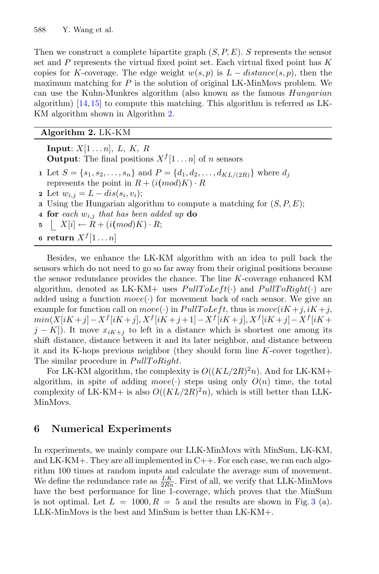Then we construct a complete bipartite graph (*S, P, E*). *S* represents the sensor set and *P* represents the virtual fixed point set. Each virtual fixed point has *K* copies for *K*-coverage. The edge weight  $w(s, p)$  is  $L - distance(s, p)$ , then the maximum matching for *P* is the solution of original LK-MinMovs problem. We can use the Kuhn-Munkres algorithm (also known as the famous *Hungarian* algorithm) [\[14,](#page-9-12)[15](#page-9-13)] to compute this matching. This algorithm is referred as LK-KM algorithm shown in Algorithm [2.](#page-7-1)

#### **Algorithm 2.** LK-KM

<span id="page-7-1"></span>

| <b>Input:</b> $X[1 \dots n], L, K, R$<br><b>Output:</b> The final positions $X^f[1 \dots n]$ of <i>n</i> sensors                                    |
|-----------------------------------------------------------------------------------------------------------------------------------------------------|
| 1 Let $S = \{s_1, s_2, \ldots, s_n\}$ and $P = \{d_1, d_2, \ldots, d_{KL/(2R)}\}\$ where $d_j$<br>represents the point in $R + (i (mod) K) \cdot R$ |
| _________                                                                                                                                           |

- **2** Let  $w_{i,j} = L dis(s_i, v_i);$
- **<sup>3</sup>** Using the Hungarian algorithm to compute a matching for (*S, P, E*);
- **4 for** each  $w_{i,j}$  that has been added up **do**<br>**5**  $\mid X[i] \leftarrow R + (i (mod)K) \cdot R;$
- $\mid X[i] \leftarrow R + (i (mod)K) \cdot R;$
- **6 return**  $X^f[1 \dots n]$

Besides, we enhance the LK-KM algorithm with an idea to pull back the sensors which do not need to go so far away from their original positions because the sensor redundance provides the chance. The line *K*-coverage enhanced KM algorithm, denoted as LK-KM+ uses  $PullToLeft(\cdot)$  and  $PullToRight(\cdot)$  are added using a function  $move(\cdot)$  for movement back of each sensor. We give an example for function call on  $move(\cdot)$  in  $PullToLeft$ , thus is  $move(iK + j, iK + j,$  $min(X[iK+j]-X^f[iK+j], X^f[iK+j+1]-X^f[iK+j], X^f[iK+j]-X^f[iK+j]$  $j - K$ ). It move  $x_{iK+i}$  to left in a distance which is shortest one among its shift distance, distance between it and its later neighbor, and distance between it and its K-hops previous neighbor (they should form line *K*-cover together). The similar procedure in  $PullToRight$ .

For LK-KM algorithm, the complexity is  $O((KL/2R)^2n)$ . And for LK-KM+ algorithm, in spite of adding  $move(\cdot)$  steps using only  $O(n)$  time, the total complexity of LK-KM+ is also  $O((KL/2R)^2n)$ , which is still better than LLK-MinMovs.

## <span id="page-7-0"></span>**6 Numerical Experiments**

In experiments, we mainly compare our LLK-MinMovs with MinSum, LK-KM, and  $LK-KM+$ . They are all implemented in  $C++$ . For each case, we ran each algorithm 100 times at random inputs and calculate the average sum of movement. We define the redundance rate as  $\frac{LR}{2Rn}$ . First of all, we verify that LLK-MinMovs<br>have the best performance for line 1-coverage, which proves that the MinSum have the best performance for line 1-coverage, which proves that the MinSum is not optimal. Let  $L = 1000, R = 5$  and the results are shown in Fig. [3](#page-8-1) (a). LLK-MinMovs is the best and MinSum is better than LK-KM+.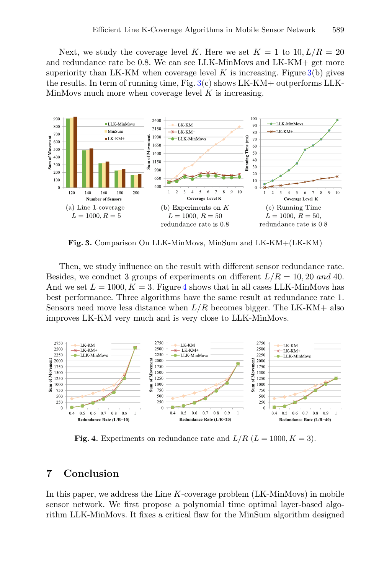Next, we study the coverage level *K*. Here we set  $K = 1$  to  $10, L/R = 20$ and redundance rate be 0*.*8. We can see LLK-MinMovs and LK-KM+ get more superiority than LK-KM when coverage level  $K$  is increasing. Figure  $3(b)$  $3(b)$  gives the results. In term of running time, Fig. [3\(](#page-8-1)c) shows LK-KM+ outperforms LLK-MinMovs much more when coverage level *K* is increasing.



**Fig. 3.** Comparison On LLK-MinMovs, MinSum and LK-KM+(LK-KM)

<span id="page-8-1"></span>Then, we study influence on the result with different sensor redundance rate. Besides, we conduct 3 groups of experiments on different  $L/R = 10, 20$  and 40. And we set  $L = 1000$ ,  $K = 3$ . Figure [4](#page-8-2) shows that in all cases LLK-MinMovs has best performance. Three algorithms have the same result at redundance rate 1. Sensors need move less distance when *L/R* becomes bigger. The LK-KM+ also improves LK-KM very much and is very close to LLK-MinMovs.



<span id="page-8-2"></span>**Fig. 4.** Experiments on redundance rate and  $L/R$  ( $L = 1000, K = 3$ ).

### <span id="page-8-0"></span>**7 Conclusion**

In this paper, we address the Line *K*-coverage problem (LK-MinMovs) in mobile sensor network. We first propose a polynomial time optimal layer-based algorithm LLK-MinMovs. It fixes a critical flaw for the MinSum algorithm designed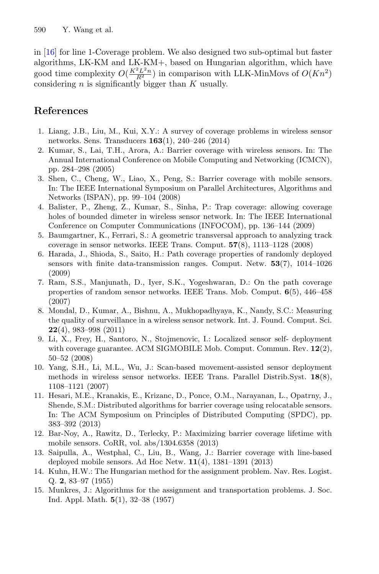in [\[16](#page-10-0)] for line 1-Coverage problem. We also designed two sub-optimal but faster algorithms, LK-KM and LK-KM+, based on Hungarian algorithm, which have good time complexity  $O(\frac{K^2 L^2 n}{R^2})$  in comparison with LLK-MinMovs of  $O(Kn^2)$ <br>considering *n* is significantly bigger than *K* usually. considering *n* is significantly bigger than *K* usually.

## **References**

- 1. Liang, J.B., Liu, M., Kui, X.Y.: A survey of coverage problems in wireless sensor networks. Sens. Transducers **163**(1), 240–246 (2014)
- <span id="page-9-0"></span>2. Kumar, S., Lai, T.H., Arora, A.: Barrier coverage with wireless sensors. In: The Annual International Conference on Mobile Computing and Networking (ICMCN), pp. 284–298 (2005)
- <span id="page-9-1"></span>3. Shen, C., Cheng, W., Liao, X., Peng, S.: Barrier coverage with mobile sensors. In: The IEEE International Symposium on Parallel Architectures, Algorithms and Networks (ISPAN), pp. 99–104 (2008)
- <span id="page-9-2"></span>4. Balister, P., Zheng, Z., Kumar, S., Sinha, P.: Trap coverage: allowing coverage holes of bounded dimeter in wireless sensor network. In: The IEEE International Conference on Computer Communications (INFOCOM), pp. 136–144 (2009)
- <span id="page-9-7"></span>5. Baumgartner, K., Ferrari, S.: A geometric transversal approach to analyzing track coverage in sensor networks. IEEE Trans. Comput. **57**(8), 1113–1128 (2008)
- <span id="page-9-8"></span>6. Harada, J., Shioda, S., Saito, H.: Path coverage properties of randomly deployed sensors with finite data-transmission ranges. Comput. Netw. **53**(7), 1014–1026 (2009)
- <span id="page-9-3"></span>7. Ram, S.S., Manjunath, D., Iyer, S.K., Yogeshwaran, D.: On the path coverage properties of random sensor networks. IEEE Trans. Mob. Comput. **6**(5), 446–458 (2007)
- <span id="page-9-6"></span>8. Mondal, D., Kumar, A., Bishnu, A., Mukhopadhyaya, K., Nandy, S.C.: Measuring the quality of surveillance in a wireless sensor network. Int. J. Found. Comput. Sci. **22**(4), 983–998 (2011)
- <span id="page-9-4"></span>9. Li, X., Frey, H., Santoro, N., Stojmenovic, I.: Localized sensor self- deployment with coverage guarantee. ACM SIGMOBILE Mob. Comput. Commun. Rev. **12**(2), 50–52 (2008)
- <span id="page-9-5"></span>10. Yang, S.H., Li, M.L., Wu, J.: Scan-based movement-assisted sensor deployment methods in wireless sensor networks. IEEE Trans. Parallel Distrib.Syst. **18**(8), 1108–1121 (2007)
- <span id="page-9-9"></span>11. Hesari, M.E., Kranakis, E., Krizanc, D., Ponce, O.M., Narayanan, L., Opatrny, J., Shende, S.M.: Distributed algorithms for barrier coverage using relocatable sensors. In: The ACM Symposium on Principles of Distributed Computing (SPDC), pp. 383–392 (2013)
- <span id="page-9-10"></span>12. Bar-Noy, A., Rawitz, D., Terlecky, P.: Maximizing barrier coverage lifetime with mobile sensors. CoRR, vol. abs/1304.6358 (2013)
- <span id="page-9-11"></span>13. Saipulla, A., Westphal, C., Liu, B., Wang, J.: Barrier coverage with line-based deployed mobile sensors. Ad Hoc Netw. **11**(4), 1381–1391 (2013)
- <span id="page-9-12"></span>14. Kuhn, H.W.: The Hungarian method for the assignment problem. Nav. Res. Logist. Q. **2**, 83–97 (1955)
- <span id="page-9-13"></span>15. Munkres, J.: Algorithms for the assignment and transportation problems. J. Soc. Ind. Appl. Math. **5**(1), 32–38 (1957)